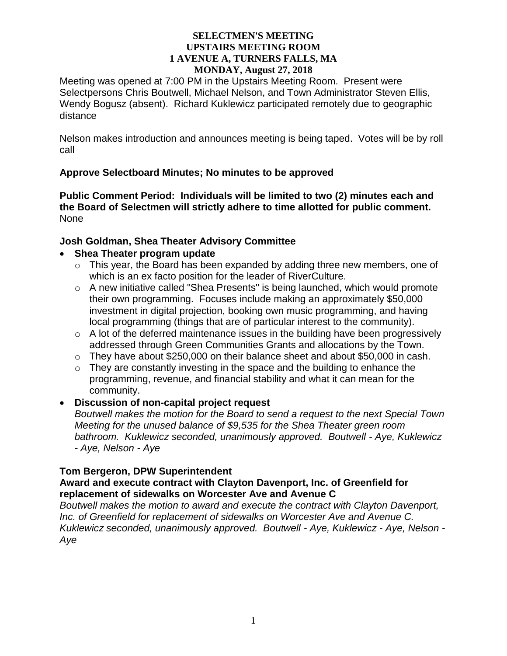Meeting was opened at 7:00 PM in the Upstairs Meeting Room. Present were Selectpersons Chris Boutwell, Michael Nelson, and Town Administrator Steven Ellis, Wendy Bogusz (absent). Richard Kuklewicz participated remotely due to geographic distance

Nelson makes introduction and announces meeting is being taped. Votes will be by roll call

# **Approve Selectboard Minutes; No minutes to be approved**

**Public Comment Period: Individuals will be limited to two (2) minutes each and the Board of Selectmen will strictly adhere to time allotted for public comment.** None

## **Josh Goldman, Shea Theater Advisory Committee**

## **Shea Theater program update**

- $\circ$  This year, the Board has been expanded by adding three new members, one of which is an ex facto position for the leader of RiverCulture.
- o A new initiative called "Shea Presents" is being launched, which would promote their own programming. Focuses include making an approximately \$50,000 investment in digital projection, booking own music programming, and having local programming (things that are of particular interest to the community).
- $\circ$  A lot of the deferred maintenance issues in the building have been progressively addressed through Green Communities Grants and allocations by the Town.
- o They have about \$250,000 on their balance sheet and about \$50,000 in cash.
- o They are constantly investing in the space and the building to enhance the programming, revenue, and financial stability and what it can mean for the community.

## **Discussion of non-capital project request**

*Boutwell makes the motion for the Board to send a request to the next Special Town Meeting for the unused balance of \$9,535 for the Shea Theater green room bathroom. Kuklewicz seconded, unanimously approved. Boutwell - Aye, Kuklewicz - Aye, Nelson - Aye*

# **Tom Bergeron, DPW Superintendent**

## **Award and execute contract with Clayton Davenport, Inc. of Greenfield for replacement of sidewalks on Worcester Ave and Avenue C**

*Boutwell makes the motion to award and execute the contract with Clayton Davenport, Inc. of Greenfield for replacement of sidewalks on Worcester Ave and Avenue C. Kuklewicz seconded, unanimously approved. Boutwell - Aye, Kuklewicz - Aye, Nelson - Aye*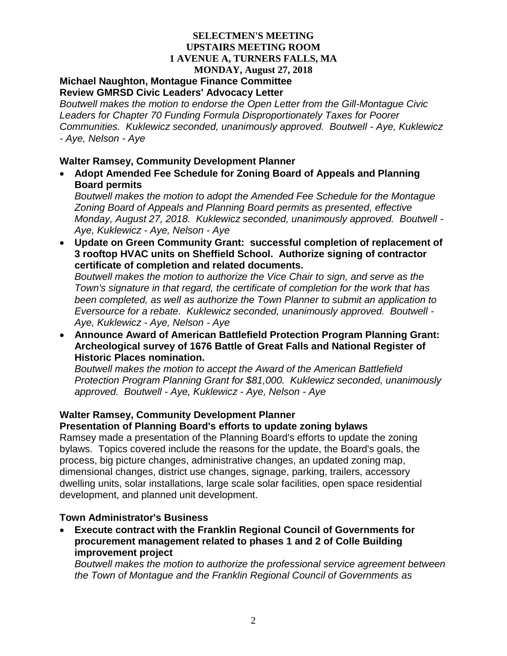#### **Michael Naughton, Montague Finance Committee Review GMRSD Civic Leaders' Advocacy Letter**

*Boutwell makes the motion to endorse the Open Letter from the Gill-Montague Civic Leaders for Chapter 70 Funding Formula Disproportionately Taxes for Poorer Communities. Kuklewicz seconded, unanimously approved. Boutwell - Aye, Kuklewicz - Aye, Nelson - Aye*

## **Walter Ramsey, Community Development Planner**

 **Adopt Amended Fee Schedule for Zoning Board of Appeals and Planning Board permits**

*Boutwell makes the motion to adopt the Amended Fee Schedule for the Montague Zoning Board of Appeals and Planning Board permits as presented, effective Monday, August 27, 2018. Kuklewicz seconded, unanimously approved. Boutwell - Aye, Kuklewicz - Aye, Nelson - Aye*

 **Update on Green Community Grant: successful completion of replacement of 3 rooftop HVAC units on Sheffield School. Authorize signing of contractor certificate of completion and related documents.**

*Boutwell makes the motion to authorize the Vice Chair to sign, and serve as the Town's signature in that regard, the certificate of completion for the work that has been completed, as well as authorize the Town Planner to submit an application to Eversource for a rebate. Kuklewicz seconded, unanimously approved. Boutwell - Aye, Kuklewicz - Aye, Nelson - Aye*

 **Announce Award of American Battlefield Protection Program Planning Grant: Archeological survey of 1676 Battle of Great Falls and National Register of Historic Places nomination.**

*Boutwell makes the motion to accept the Award of the American Battlefield Protection Program Planning Grant for \$81,000. Kuklewicz seconded, unanimously approved. Boutwell - Aye, Kuklewicz - Aye, Nelson - Aye*

# **Walter Ramsey, Community Development Planner**

# **Presentation of Planning Board's efforts to update zoning bylaws**

Ramsey made a presentation of the Planning Board's efforts to update the zoning bylaws. Topics covered include the reasons for the update, the Board's goals, the process, big picture changes, administrative changes, an updated zoning map, dimensional changes, district use changes, signage, parking, trailers, accessory dwelling units, solar installations, large scale solar facilities, open space residential development, and planned unit development.

# **Town Administrator's Business**

 **Execute contract with the Franklin Regional Council of Governments for procurement management related to phases 1 and 2 of Colle Building improvement project**

*Boutwell makes the motion to authorize the professional service agreement between the Town of Montague and the Franklin Regional Council of Governments as*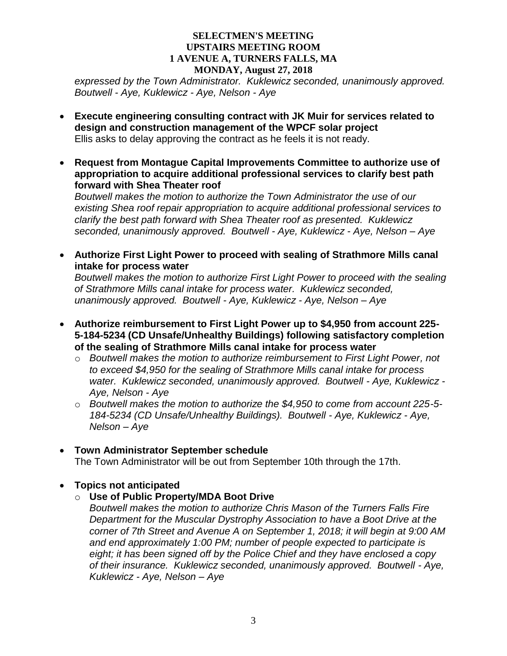*expressed by the Town Administrator. Kuklewicz seconded, unanimously approved. Boutwell - Aye, Kuklewicz - Aye, Nelson - Aye* 

- **Execute engineering consulting contract with JK Muir for services related to design and construction management of the WPCF solar project** Ellis asks to delay approving the contract as he feels it is not ready.
- **Request from Montague Capital Improvements Committee to authorize use of appropriation to acquire additional professional services to clarify best path forward with Shea Theater roof**

*Boutwell makes the motion to authorize the Town Administrator the use of our existing Shea roof repair appropriation to acquire additional professional services to clarify the best path forward with Shea Theater roof as presented. Kuklewicz seconded, unanimously approved. Boutwell - Aye, Kuklewicz - Aye, Nelson – Aye*

 **Authorize First Light Power to proceed with sealing of Strathmore Mills canal intake for process water**

*Boutwell makes the motion to authorize First Light Power to proceed with the sealing of Strathmore Mills canal intake for process water. Kuklewicz seconded, unanimously approved. Boutwell - Aye, Kuklewicz - Aye, Nelson – Aye*

- **Authorize reimbursement to First Light Power up to \$4,950 from account 225- 5-184-5234 (CD Unsafe/Unhealthy Buildings) following satisfactory completion of the sealing of Strathmore Mills canal intake for process water**
	- o *Boutwell makes the motion to authorize reimbursement to First Light Power, not to exceed \$4,950 for the sealing of Strathmore Mills canal intake for process water. Kuklewicz seconded, unanimously approved. Boutwell - Aye, Kuklewicz - Aye, Nelson - Aye*
	- o *Boutwell makes the motion to authorize the \$4,950 to come from account 225-5- 184-5234 (CD Unsafe/Unhealthy Buildings). Boutwell - Aye, Kuklewicz - Aye, Nelson – Aye*
- **Town Administrator September schedule** The Town Administrator will be out from September 10th through the 17th.

# **Topics not anticipated**

o **Use of Public Property/MDA Boot Drive**

*Boutwell makes the motion to authorize Chris Mason of the Turners Falls Fire Department for the Muscular Dystrophy Association to have a Boot Drive at the corner of 7th Street and Avenue A on September 1, 2018; it will begin at 9:00 AM and end approximately 1:00 PM; number of people expected to participate is eight; it has been signed off by the Police Chief and they have enclosed a copy of their insurance. Kuklewicz seconded, unanimously approved. Boutwell - Aye, Kuklewicz - Aye, Nelson – Aye*